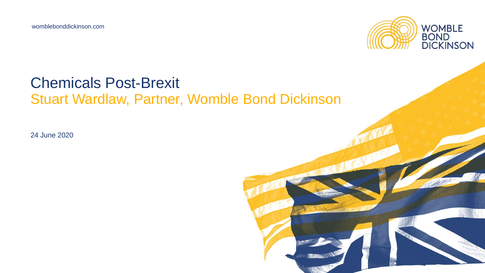womblebonddickinson.com



#### Chemicals Post-Brexit Stuart Wardlaw, Partner, Womble Bond Dickinson

24 June 2020

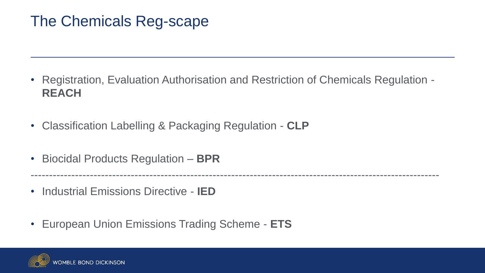# The Chemicals Reg-scape

• Registration, Evaluation Authorisation and Restriction of Chemicals Regulation - **REACH**

--------------------------------------------------------------------------------------------------------------

- Classification Labelling & Packaging Regulation **CLP**
- Biocidal Products Regulation **BPR**
- Industrial Emissions Directive **IED**
- European Union Emissions Trading Scheme **ETS**

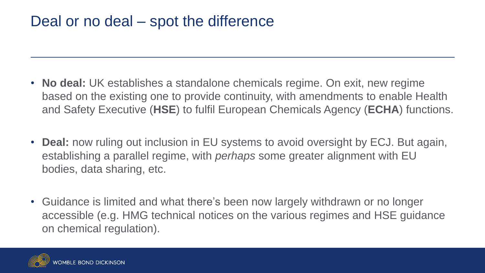## Deal or no deal – spot the difference

- **No deal:** UK establishes a standalone chemicals regime. On exit, new regime based on the existing one to provide continuity, with amendments to enable Health and Safety Executive (**HSE**) to fulfil European Chemicals Agency (**ECHA**) functions.
- **Deal:** now ruling out inclusion in EU systems to avoid oversight by ECJ. But again, establishing a parallel regime, with *perhaps* some greater alignment with EU bodies, data sharing, etc.
- Guidance is limited and what there's been now largely withdrawn or no longer accessible (e.g. HMG technical notices on the various regimes and HSE guidance on chemical regulation).

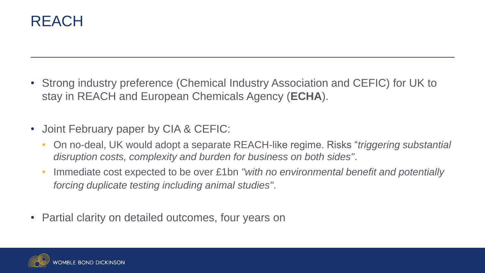

- Strong industry preference (Chemical Industry Association and CEFIC) for UK to stay in REACH and European Chemicals Agency (**ECHA**).
- Joint February paper by CIA & CEFIC:
	- On no-deal, UK would adopt a separate REACH-like regime. Risks "*triggering substantial disruption costs, complexity and burden for business on both sides"*.
	- Immediate cost expected to be over £1bn *"with no environmental benefit and potentially forcing duplicate testing including animal studies"*.
- Partial clarity on detailed outcomes, four years on

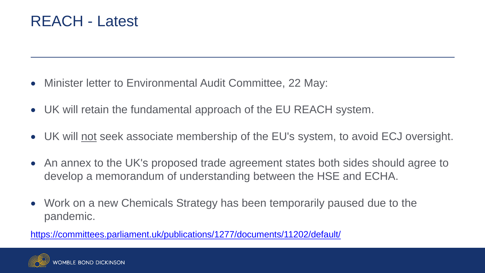## REACH - Latest

- Minister letter to Environmental Audit Committee, 22 May:
- UK will retain the fundamental approach of the EU REACH system.
- UK will not seek associate membership of the EU's system, to avoid ECJ oversight.
- An annex to the UK's proposed trade agreement states both sides should agree to develop a memorandum of understanding between the HSE and ECHA.
- Work on a new Chemicals Strategy has been temporarily paused due to the pandemic.

<https://committees.parliament.uk/publications/1277/documents/11202/default/>

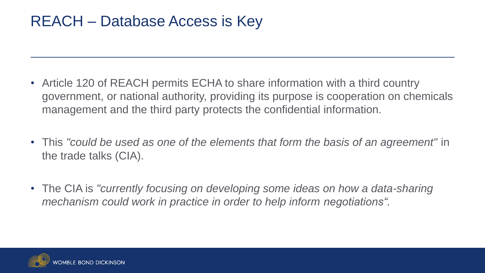# REACH – Database Access is Key

- Article 120 of REACH permits ECHA to share information with a third country government, or national authority, providing its purpose is cooperation on chemicals management and the third party protects the confidential information.
- This *"could be used as one of the elements that form the basis of an agreement"* in the trade talks (CIA).
- The CIA is "currently focusing on developing some ideas on how a data-sharing *mechanism could work in practice in order to help inform negotiations".*

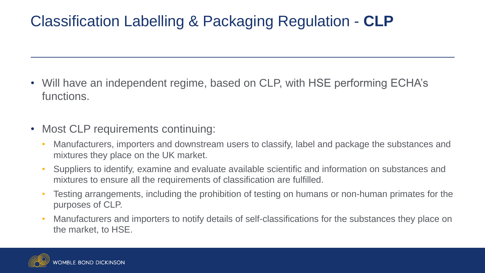# Classification Labelling & Packaging Regulation - **CLP**

- Will have an independent regime, based on CLP, with HSE performing ECHA's functions.
- Most CLP requirements continuing:
	- Manufacturers, importers and downstream users to classify, label and package the substances and mixtures they place on the UK market.
	- Suppliers to identify, examine and evaluate available scientific and information on substances and mixtures to ensure all the requirements of classification are fulfilled.
	- Testing arrangements, including the prohibition of testing on humans or non-human primates for the purposes of CLP.
	- Manufacturers and importers to notify details of self-classifications for the substances they place on the market, to HSE.

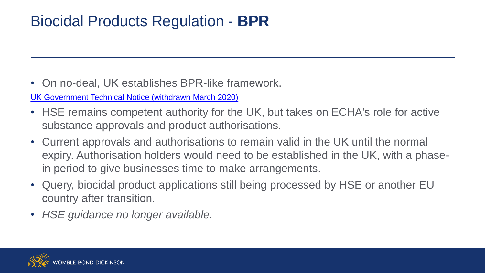# Biocidal Products Regulation - **BPR**

• On no-deal, UK establishes BPR-like framework.

[UK Government Technical Notice \(withdrawn March 2020\)](https://www.gov.uk/government/publications/regulating-biocidal-products-if-theres-no-brexit-deal/regulating-biocidal-products-if-theres-no-brexit-deal)

- HSE remains competent authority for the UK, but takes on ECHA's role for active substance approvals and product authorisations.
- Current approvals and authorisations to remain valid in the UK until the normal expiry. Authorisation holders would need to be established in the UK, with a phasein period to give businesses time to make arrangements.
- Query, biocidal product applications still being processed by HSE or another EU country after transition.
- *HSE guidance no longer available.*

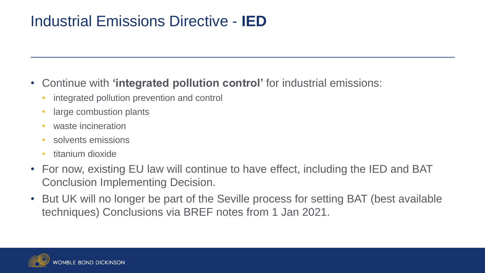# Industrial Emissions Directive - **IED**

#### • Continue with **'integrated pollution control'** for industrial emissions:

- integrated pollution prevention and control
- large combustion plants
- waste incineration
- solvents emissions
- titanium dioxide
- For now, existing EU law will continue to have effect, including the IED and BAT Conclusion Implementing Decision.
- But UK will no longer be part of the Seville process for setting BAT (best available techniques) Conclusions via BREF notes from 1 Jan 2021.

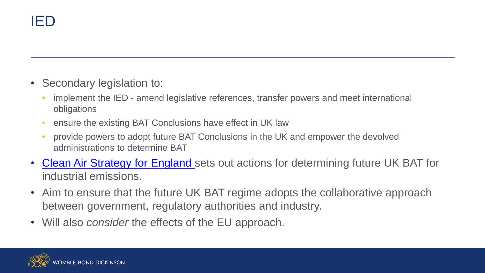- Secondary legislation to:
	- implement the IED amend legislative references, transfer powers and meet international obligations
	- ensure the existing BAT Conclusions have effect in UK law
	- provide powers to adopt future BAT Conclusions in the UK and empower the devolved administrations to determine BAT
- [Clean Air Strategy for England](https://www.gov.uk/government/publications/clean-air-strategy-2019) sets out actions for determining future UK BAT for industrial emissions.
- Aim to ensure that the future UK BAT regime adopts the collaborative approach between government, regulatory authorities and industry.
- Will also *consider* the effects of the EU approach.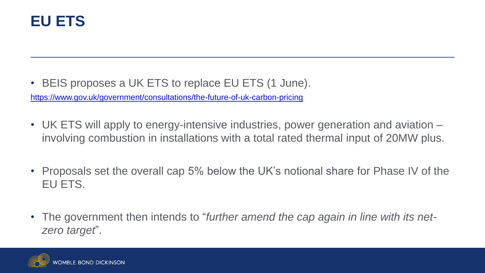

• BEIS proposes a UK ETS to replace EU ETS (1 June).

<https://www.gov.uk/government/consultations/the-future-of-uk-carbon-pricing>

- UK ETS will apply to energy-intensive industries, power generation and aviation involving combustion in installations with a total rated thermal input of 20MW plus.
- Proposals set the overall cap 5% below the UK's notional share for Phase IV of the EU ETS.
- The government then intends to "*further amend the cap again in line with its netzero target*".

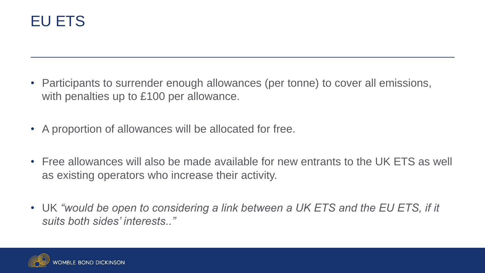# EU ETS

- Participants to surrender enough allowances (per tonne) to cover all emissions, with penalties up to £100 per allowance.
- A proportion of allowances will be allocated for free.
- Free allowances will also be made available for new entrants to the UK ETS as well as existing operators who increase their activity.
- UK "would be open to considering a link between a UK ETS and the EU ETS, if it *suits both sides' interests.."*

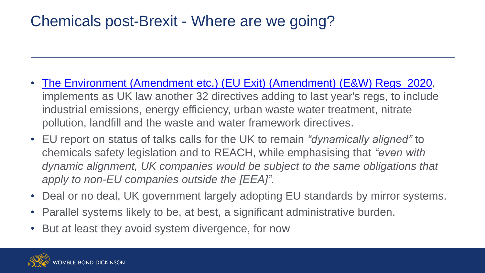# Chemicals post-Brexit - Where are we going?

- [The Environment \(Amendment etc.\) \(EU Exit\) \(Amendment\) \(E&W\) Regs 2020,](https://www.endscompliance.com/ENDSApp/RecordDisplay.aspx?tt=67155) implements as UK law another 32 directives adding to last year's regs, to include industrial emissions, energy efficiency, urban waste water treatment, nitrate pollution, landfill and the waste and water framework directives.
- EU report on status of talks calls for the UK to remain *"dynamically aligned"* to chemicals safety legislation and to REACH, while emphasising that *"even with*  dynamic alignment, UK companies would be subject to the same obligations that *apply to non-EU companies outside the [EEA]"*.
- Deal or no deal, UK government largely adopting EU standards by mirror systems.
- Parallel systems likely to be, at best, a significant administrative burden.
- But at least they avoid system divergence, for now